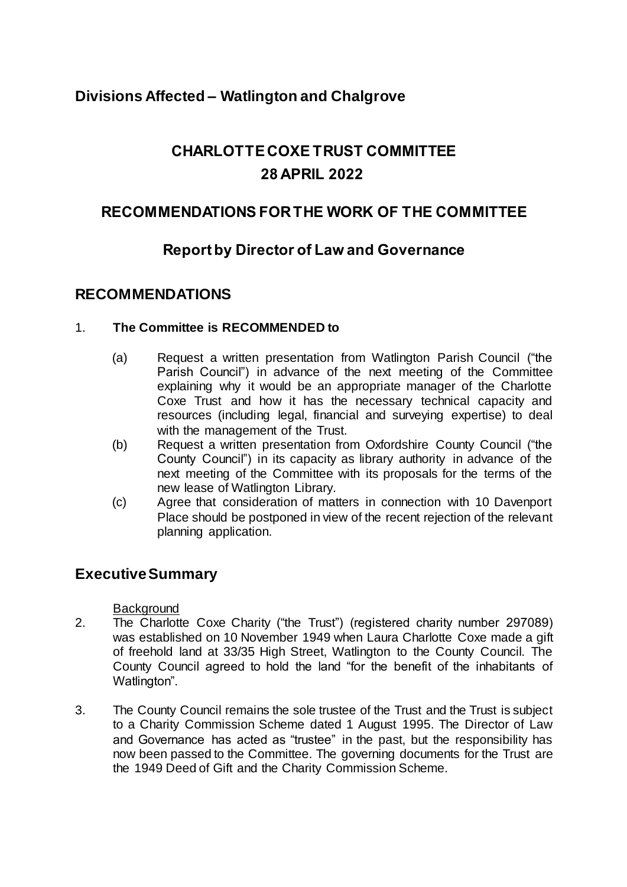# **Divisions Affected – Watlington and Chalgrove**

# **CHARLOTTE COXE TRUST COMMITTEE 28 APRIL 2022**

# **RECOMMENDATIONS FOR THE WORK OF THE COMMITTEE**

# **Report by Director of Law and Governance**

### **RECOMMENDATIONS**

#### 1. **The Committee is RECOMMENDED to**

- (a) Request a written presentation from Watlington Parish Council ("the Parish Council") in advance of the next meeting of the Committee explaining why it would be an appropriate manager of the Charlotte Coxe Trust and how it has the necessary technical capacity and resources (including legal, financial and surveying expertise) to deal with the management of the Trust.
- (b) Request a written presentation from Oxfordshire County Council ("the County Council") in its capacity as library authority in advance of the next meeting of the Committee with its proposals for the terms of the new lease of Watlington Library.
- (c) Agree that consideration of matters in connection with 10 Davenport Place should be postponed in view of the recent rejection of the relevant planning application.

### **Executive Summary**

**Background** 

- 2. The Charlotte Coxe Charity ("the Trust") (registered charity number 297089) was established on 10 November 1949 when Laura Charlotte Coxe made a gift of freehold land at 33/35 High Street, Watlington to the County Council. The County Council agreed to hold the land "for the benefit of the inhabitants of Watlington".
- 3. The County Council remains the sole trustee of the Trust and the Trust is subject to a Charity Commission Scheme dated 1 August 1995. The Director of Law and Governance has acted as "trustee" in the past, but the responsibility has now been passed to the Committee. The governing documents for the Trust are the 1949 Deed of Gift and the Charity Commission Scheme.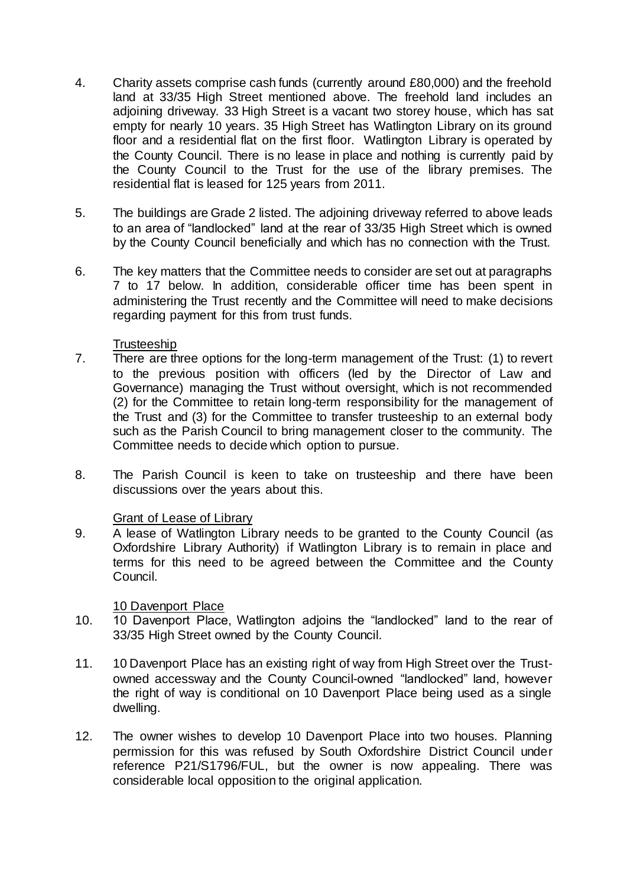- 4. Charity assets comprise cash funds (currently around £80,000) and the freehold land at 33/35 High Street mentioned above. The freehold land includes an adjoining driveway. 33 High Street is a vacant two storey house, which has sat empty for nearly 10 years. 35 High Street has Watlington Library on its ground floor and a residential flat on the first floor. Watlington Library is operated by the County Council. There is no lease in place and nothing is currently paid by the County Council to the Trust for the use of the library premises. The residential flat is leased for 125 years from 2011.
- 5. The buildings are Grade 2 listed. The adjoining driveway referred to above leads to an area of "landlocked" land at the rear of 33/35 High Street which is owned by the County Council beneficially and which has no connection with the Trust.
- 6. The key matters that the Committee needs to consider are set out at paragraphs 7 to 17 below. In addition, considerable officer time has been spent in administering the Trust recently and the Committee will need to make decisions regarding payment for this from trust funds.

#### **Trusteeship**

- 7. There are three options for the long-term management of the Trust: (1) to revert to the previous position with officers (led by the Director of Law and Governance) managing the Trust without oversight, which is not recommended (2) for the Committee to retain long-term responsibility for the management of the Trust and (3) for the Committee to transfer trusteeship to an external body such as the Parish Council to bring management closer to the community. The Committee needs to decide which option to pursue.
- 8. The Parish Council is keen to take on trusteeship and there have been discussions over the years about this.

#### Grant of Lease of Library

9. A lease of Watlington Library needs to be granted to the County Council (as Oxfordshire Library Authority) if Watlington Library is to remain in place and terms for this need to be agreed between the Committee and the County Council.

#### 10 Davenport Place

- 10. 10 Davenport Place, Watlington adjoins the "landlocked" land to the rear of 33/35 High Street owned by the County Council.
- 11. 10 Davenport Place has an existing right of way from High Street over the Trustowned accessway and the County Council-owned "landlocked" land, however the right of way is conditional on 10 Davenport Place being used as a single dwelling.
- 12. The owner wishes to develop 10 Davenport Place into two houses. Planning permission for this was refused by South Oxfordshire District Council under reference P21/S1796/FUL, but the owner is now appealing. There was considerable local opposition to the original application.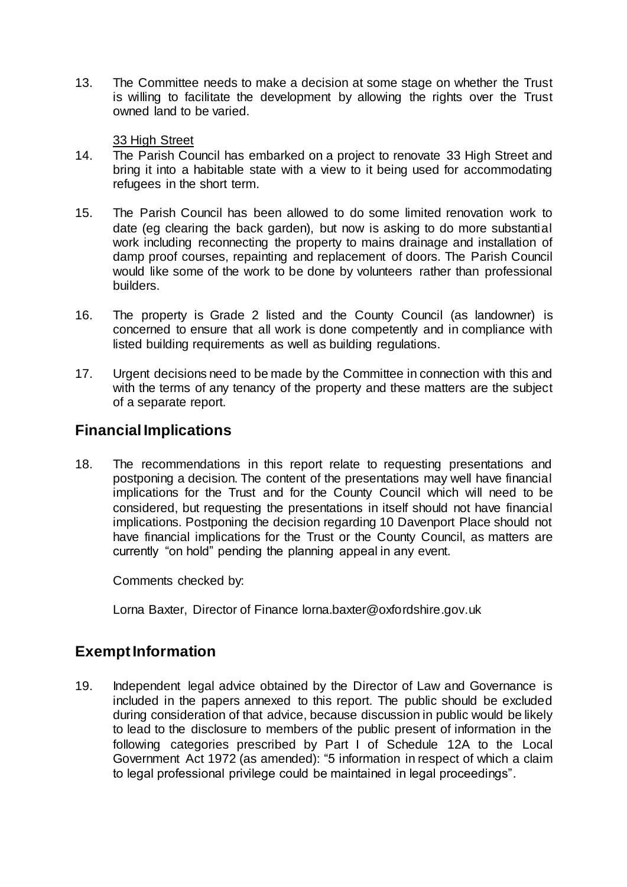13. The Committee needs to make a decision at some stage on whether the Trust is willing to facilitate the development by allowing the rights over the Trust owned land to be varied.

#### 33 High Street

- 14. The Parish Council has embarked on a project to renovate 33 High Street and bring it into a habitable state with a view to it being used for accommodating refugees in the short term.
- 15. The Parish Council has been allowed to do some limited renovation work to date (eg clearing the back garden), but now is asking to do more substantial work including reconnecting the property to mains drainage and installation of damp proof courses, repainting and replacement of doors. The Parish Council would like some of the work to be done by volunteers rather than professional builders.
- 16. The property is Grade 2 listed and the County Council (as landowner) is concerned to ensure that all work is done competently and in compliance with listed building requirements as well as building regulations.
- 17. Urgent decisions need to be made by the Committee in connection with this and with the terms of any tenancy of the property and these matters are the subject of a separate report.

## **Financial Implications**

18. The recommendations in this report relate to requesting presentations and postponing a decision. The content of the presentations may well have financial implications for the Trust and for the County Council which will need to be considered, but requesting the presentations in itself should not have financial implications. Postponing the decision regarding 10 Davenport Place should not have financial implications for the Trust or the County Council, as matters are currently "on hold" pending the planning appeal in any event.

Comments checked by:

Lorna Baxter, Director of Finance lorna.baxter@oxfordshire.gov.uk

### **Exempt Information**

19. Independent legal advice obtained by the Director of Law and Governance is included in the papers annexed to this report. The public should be excluded during consideration of that advice, because discussion in public would be likely to lead to the disclosure to members of the public present of information in the following categories prescribed by Part I of Schedule 12A to the Local Government Act 1972 (as amended): "5 information in respect of which a claim to legal professional privilege could be maintained in legal proceedings".